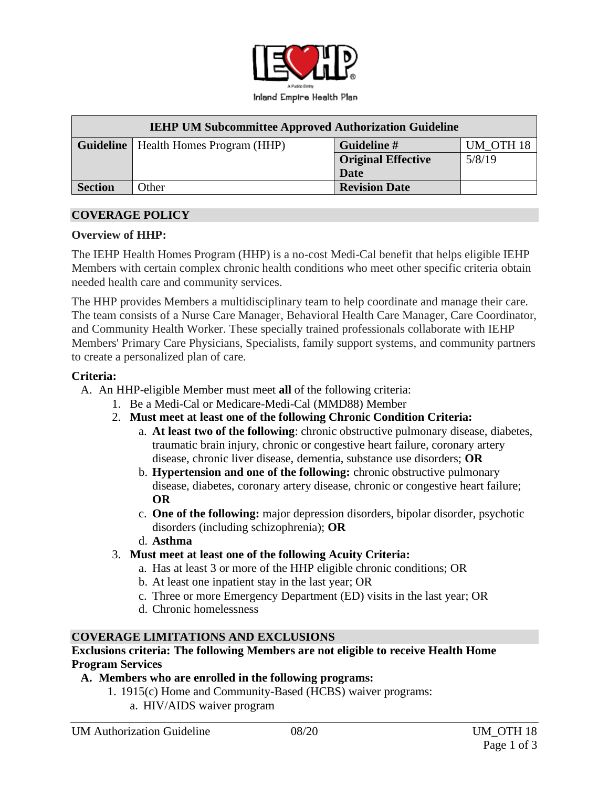

| <b>IEHP UM Subcommittee Approved Authorization Guideline</b> |                                               |                           |           |
|--------------------------------------------------------------|-----------------------------------------------|---------------------------|-----------|
|                                                              | <b>Guideline</b>   Health Homes Program (HHP) | Guideline #               | UM OTH 18 |
|                                                              |                                               | <b>Original Effective</b> | 5/8/19    |
|                                                              |                                               | <b>Date</b>               |           |
| <b>Section</b>                                               | Other                                         | <b>Revision Date</b>      |           |

### **COVERAGE POLICY**

#### **Overview of HHP:**

The IEHP Health Homes Program (HHP) is a no-cost Medi-Cal benefit that helps eligible IEHP Members with certain complex chronic health conditions who meet other specific criteria obtain needed health care and community services.

The HHP provides Members a multidisciplinary team to help coordinate and manage their care. The team consists of a Nurse Care Manager, Behavioral Health Care Manager, Care Coordinator, and Community Health Worker. These specially trained professionals collaborate with IEHP Members' Primary Care Physicians, Specialists, family support systems, and community partners to create a personalized plan of care.

### **Criteria:**

A. An HHP-eligible Member must meet **all** of the following criteria:

- 1. Be a Medi-Cal or Medicare-Medi-Cal (MMD88) Member
- 2. **Must meet at least one of the following Chronic Condition Criteria:**
	- a. **At least two of the following**: chronic obstructive pulmonary disease, diabetes, traumatic brain injury, chronic or congestive heart failure, coronary artery disease, chronic liver disease, dementia, substance use disorders; **OR**
	- b. **Hypertension and one of the following:** chronic obstructive pulmonary disease, diabetes, coronary artery disease, chronic or congestive heart failure; **OR**
	- c. **One of the following:** major depression disorders, bipolar disorder, psychotic disorders (including schizophrenia); **OR**
	- d. **Asthma**
- 3. **Must meet at least one of the following Acuity Criteria:**
	- a. Has at least 3 or more of the HHP eligible chronic conditions; OR
	- b. At least one inpatient stay in the last year; OR
	- c. Three or more Emergency Department (ED) visits in the last year; OR
	- d. Chronic homelessness

### **COVERAGE LIMITATIONS AND EXCLUSIONS**

### **Exclusions criteria: The following Members are not eligible to receive Health Home Program Services**

### **A. Members who are enrolled in the following programs:**

- 1. 1915(c) Home and Community-Based (HCBS) waiver programs:
	- a. HIV/AIDS waiver program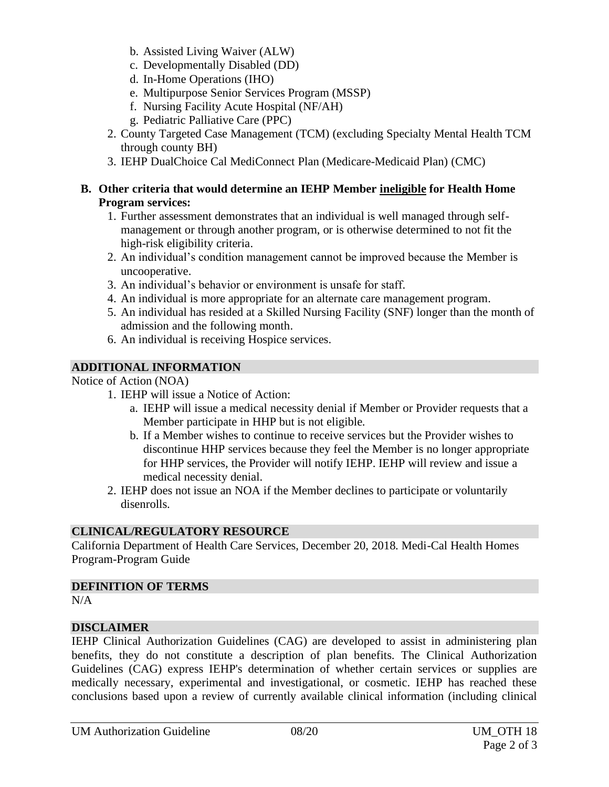- b. Assisted Living Waiver (ALW)
- c. Developmentally Disabled (DD)
- d. In-Home Operations (IHO)
- e. Multipurpose Senior Services Program (MSSP)
- f. Nursing Facility Acute Hospital (NF/AH)
- g. Pediatric Palliative Care (PPC)
- 2. County Targeted Case Management (TCM) (excluding Specialty Mental Health TCM through county BH)
- 3. IEHP DualChoice Cal MediConnect Plan (Medicare-Medicaid Plan) (CMC)

## **B. Other criteria that would determine an IEHP Member ineligible for Health Home Program services:**

- 1. Further assessment demonstrates that an individual is well managed through selfmanagement or through another program, or is otherwise determined to not fit the high-risk eligibility criteria.
- 2. An individual's condition management cannot be improved because the Member is uncooperative.
- 3. An individual's behavior or environment is unsafe for staff.
- 4. An individual is more appropriate for an alternate care management program.
- 5. An individual has resided at a Skilled Nursing Facility (SNF) longer than the month of admission and the following month.
- 6. An individual is receiving Hospice services.

# **ADDITIONAL INFORMATION**

Notice of Action (NOA)

- 1. IEHP will issue a Notice of Action:
	- a. IEHP will issue a medical necessity denial if Member or Provider requests that a Member participate in HHP but is not eligible.
	- b. If a Member wishes to continue to receive services but the Provider wishes to discontinue HHP services because they feel the Member is no longer appropriate for HHP services, the Provider will notify IEHP. IEHP will review and issue a medical necessity denial.
- 2. IEHP does not issue an NOA if the Member declines to participate or voluntarily disenrolls.

# **CLINICAL/REGULATORY RESOURCE**

California Department of Health Care Services, December 20, 2018. Medi-Cal Health Homes Program-Program Guide

## **DEFINITION OF TERMS**

 $N/A$ 

# **DISCLAIMER**

IEHP Clinical Authorization Guidelines (CAG) are developed to assist in administering plan benefits, they do not constitute a description of plan benefits. The Clinical Authorization Guidelines (CAG) express IEHP's determination of whether certain services or supplies are medically necessary, experimental and investigational, or cosmetic. IEHP has reached these conclusions based upon a review of currently available clinical information (including clinical